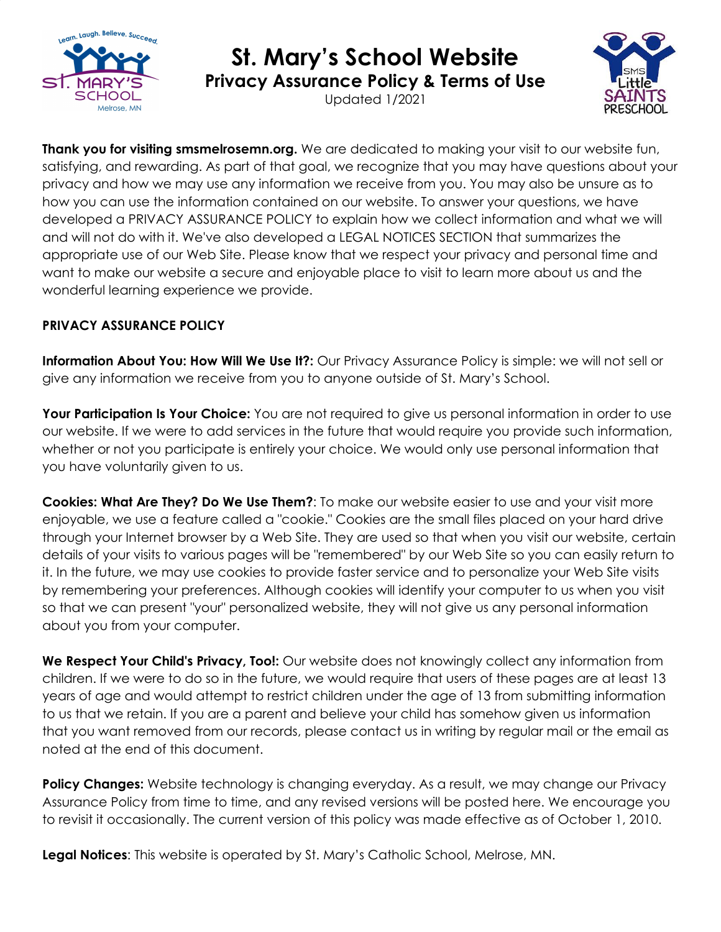

## **St. Mary's School Website**

**Privacy Assurance Policy & Terms of Use**

Updated 1/2021



**Thank you for visiting smsmelrosemn.org.** We are dedicated to making your visit to our website fun, satisfying, and rewarding. As part of that goal, we recognize that you may have questions about your privacy and how we may use any information we receive from you. You may also be unsure as to how you can use the information contained on our website. To answer your questions, we have developed a PRIVACY ASSURANCE POLICY to explain how we collect information and what we will and will not do with it. We've also developed a LEGAL NOTICES SECTION that summarizes the appropriate use of our Web Site. Please know that we respect your privacy and personal time and want to make our website a secure and enjoyable place to visit to learn more about us and the wonderful learning experience we provide.

## **PRIVACY ASSURANCE POLICY**

**Information About You: How Will We Use It?:** Our Privacy Assurance Policy is simple: we will not sell or give any information we receive from you to anyone outside of St. Mary's School.

**Your Participation Is Your Choice:** You are not required to give us personal information in order to use our website. If we were to add services in the future that would require you provide such information, whether or not you participate is entirely your choice. We would only use personal information that you have voluntarily given to us.

**Cookies: What Are They? Do We Use Them?**: To make our website easier to use and your visit more enjoyable, we use a feature called a "cookie." Cookies are the small files placed on your hard drive through your Internet browser by a Web Site. They are used so that when you visit our website, certain details of your visits to various pages will be "remembered" by our Web Site so you can easily return to it. In the future, we may use cookies to provide faster service and to personalize your Web Site visits by remembering your preferences. Although cookies will identify your computer to us when you visit so that we can present "your" personalized website, they will not give us any personal information about you from your computer.

**We Respect Your Child's Privacy, Too!:** Our website does not knowingly collect any information from children. If we were to do so in the future, we would require that users of these pages are at least 13 years of age and would attempt to restrict children under the age of 13 from submitting information to us that we retain. If you are a parent and believe your child has somehow given us information that you want removed from our records, please contact us in writing by regular mail or the email as noted at the end of this document.

**Policy Changes:** Website technology is changing everyday. As a result, we may change our Privacy Assurance Policy from time to time, and any revised versions will be posted here. We encourage you to revisit it occasionally. The current version of this policy was made effective as of October 1, 2010.

**Legal Notices**: This website is operated by St. Mary's Catholic School, Melrose, MN.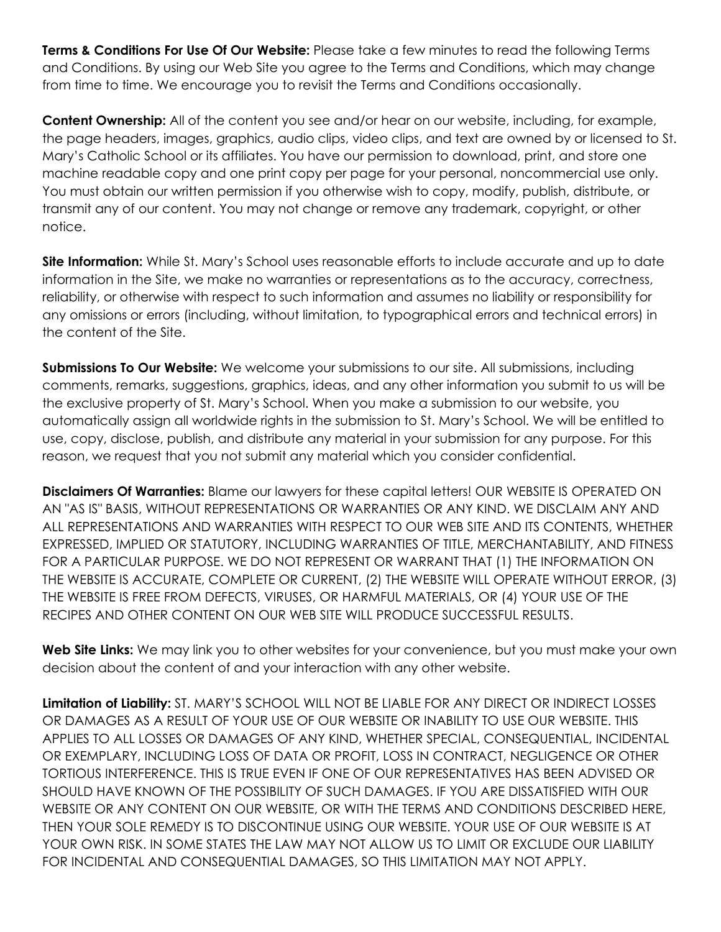**Terms & Conditions For Use Of Our Website:** Please take a few minutes to read the following Terms and Conditions. By using our Web Site you agree to the Terms and Conditions, which may change from time to time. We encourage you to revisit the Terms and Conditions occasionally.

**Content Ownership:** All of the content you see and/or hear on our website, including, for example, the page headers, images, graphics, audio clips, video clips, and text are owned by or licensed to St. Mary's Catholic School or its affiliates. You have our permission to download, print, and store one machine readable copy and one print copy per page for your personal, noncommercial use only. You must obtain our written permission if you otherwise wish to copy, modify, publish, distribute, or transmit any of our content. You may not change or remove any trademark, copyright, or other notice.

**Site Information:** While St. Mary's School uses reasonable efforts to include accurate and up to date information in the Site, we make no warranties or representations as to the accuracy, correctness, reliability, or otherwise with respect to such information and assumes no liability or responsibility for any omissions or errors (including, without limitation, to typographical errors and technical errors) in the content of the Site.

**Submissions To Our Website:** We welcome your submissions to our site. All submissions, including comments, remarks, suggestions, graphics, ideas, and any other information you submit to us will be the exclusive property of St. Mary's School. When you make a submission to our website, you automatically assign all worldwide rights in the submission to St. Mary's School. We will be entitled to use, copy, disclose, publish, and distribute any material in your submission for any purpose. For this reason, we request that you not submit any material which you consider confidential.

**Disclaimers Of Warranties:** Blame our lawyers for these capital letters! OUR WEBSITE IS OPERATED ON AN "AS IS" BASIS, WITHOUT REPRESENTATIONS OR WARRANTIES OR ANY KIND. WE DISCLAIM ANY AND ALL REPRESENTATIONS AND WARRANTIES WITH RESPECT TO OUR WEB SITE AND ITS CONTENTS, WHETHER EXPRESSED, IMPLIED OR STATUTORY, INCLUDING WARRANTIES OF TITLE, MERCHANTABILITY, AND FITNESS FOR A PARTICULAR PURPOSE. WE DO NOT REPRESENT OR WARRANT THAT (1) THE INFORMATION ON THE WEBSITE IS ACCURATE, COMPLETE OR CURRENT, (2) THE WEBSITE WILL OPERATE WITHOUT ERROR, (3) THE WEBSITE IS FREE FROM DEFECTS, VIRUSES, OR HARMFUL MATERIALS, OR (4) YOUR USE OF THE RECIPES AND OTHER CONTENT ON OUR WEB SITE WILL PRODUCE SUCCESSFUL RESULTS.

**Web Site Links:** We may link you to other websites for your convenience, but you must make your own decision about the content of and your interaction with any other website.

**Limitation of Liability:** ST. MARY'S SCHOOL WILL NOT BE LIABLE FOR ANY DIRECT OR INDIRECT LOSSES OR DAMAGES AS A RESULT OF YOUR USE OF OUR WEBSITE OR INABILITY TO USE OUR WEBSITE. THIS APPLIES TO ALL LOSSES OR DAMAGES OF ANY KIND, WHETHER SPECIAL, CONSEQUENTIAL, INCIDENTAL OR EXEMPLARY, INCLUDING LOSS OF DATA OR PROFIT, LOSS IN CONTRACT, NEGLIGENCE OR OTHER TORTIOUS INTERFERENCE. THIS IS TRUE EVEN IF ONE OF OUR REPRESENTATIVES HAS BEEN ADVISED OR SHOULD HAVE KNOWN OF THE POSSIBILITY OF SUCH DAMAGES. IF YOU ARE DISSATISFIED WITH OUR WEBSITE OR ANY CONTENT ON OUR WEBSITE, OR WITH THE TERMS AND CONDITIONS DESCRIBED HERE, THEN YOUR SOLE REMEDY IS TO DISCONTINUE USING OUR WEBSITE. YOUR USE OF OUR WEBSITE IS AT YOUR OWN RISK. IN SOME STATES THE LAW MAY NOT ALLOW US TO LIMIT OR EXCLUDE OUR LIABILITY FOR INCIDENTAL AND CONSEQUENTIAL DAMAGES, SO THIS LIMITATION MAY NOT APPLY.